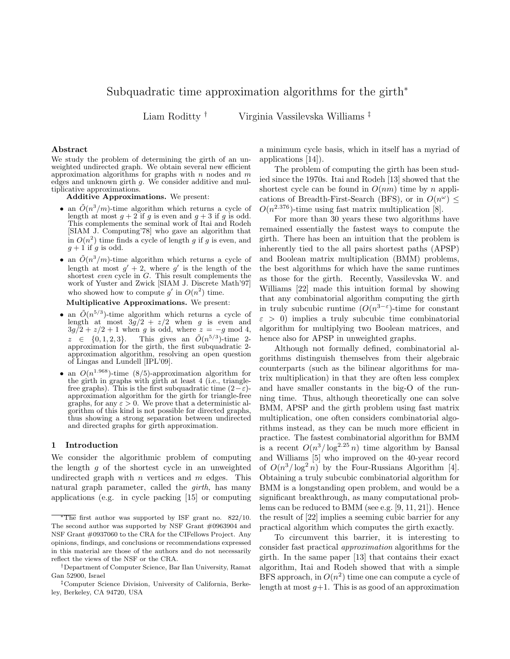# Subquadratic time approximation algorithms for the girth<sup>∗</sup>

Liam Roditty † Virginia Vassilevska Williams ‡

## Abstract

We study the problem of determining the girth of an unweighted undirected graph. We obtain several new efficient approximation algorithms for graphs with  $n$  nodes and  $m$ edges and unknown girth  $g$ . We consider additive and multiplicative approximations.

Additive Approximations. We present:

- an  $\tilde{O}(n^3/m)$ -time algorithm which returns a cycle of length at most  $g + 2$  if g is even and  $g + 3$  if g is odd. This complements the seminal work of Itai and Rodeh [SIAM J. Computing'78] who gave an algorithm that in  $O(n^2)$  time finds a cycle of length g if g is even, and  $g+1$  if g is odd.
- an  $\tilde{O}(n^3/m)$ -time algorithm which returns a cycle of length at most  $g' + 2$ , where  $g'$  is the length of the shortest even cycle in G. This result complements the work of Yuster and Zwick [SIAM J. Discrete Math'97] who showed how to compute  $g'$  in  $O(n^2)$  time.

#### Multiplicative Approximations. We present:

- an  $\tilde{O}(n^{5/3})$ -time algorithm which returns a cycle of length at most  $3g/2 + z/2$  when g is even and  $3g/2 + z/2 + 1$  when g is odd, where  $z = -g \mod 4$ ,  $z \in \{0, 1, 2, 3\}.$  This gives an  $\tilde{O}(n^{5/3})$ -time 2approximation for the girth, the first subquadratic 2 approximation algorithm, resolving an open question of Lingas and Lundell [IPL'09].
- an  $O(n^{1.968})$ -time (8/5)-approximation algorithm for the girth in graphs with girth at least 4 (i.e., trianglefree graphs). This is the first subquadratic time  $(2-\varepsilon)$ approximation algorithm for the girth for triangle-free graphs, for any  $\varepsilon > 0$ . We prove that a deterministic algorithm of this kind is not possible for directed graphs, thus showing a strong separation between undirected and directed graphs for girth approximation.

#### 1 Introduction

We consider the algorithmic problem of computing the length  $g$  of the shortest cycle in an unweighted undirected graph with  $n$  vertices and  $m$  edges. This natural graph parameter, called the *girth*, has many applications (e.g. in cycle packing [15] or computing

a minimum cycle basis, which in itself has a myriad of applications [14]).

The problem of computing the girth has been studied since the 1970s. Itai and Rodeh [13] showed that the shortest cycle can be found in  $O(nm)$  time by n applications of Breadth-First-Search (BFS), or in  $O(n^{\omega}) \le$  $O(n^{2.376})$ -time using fast matrix multiplication [8].

For more than 30 years these two algorithms have remained essentially the fastest ways to compute the girth. There has been an intuition that the problem is inherently tied to the all pairs shortest paths (APSP) and Boolean matrix multiplication (BMM) problems, the best algorithms for which have the same runtimes as those for the girth. Recently, Vassilevska W. and Williams [22] made this intuition formal by showing that any combinatorial algorithm computing the girth in truly subcubic runtime  $(O(n^{3-\epsilon})$ -time for constant  $\varepsilon > 0$ ) implies a truly subcubic time combinatorial algorithm for multiplying two Boolean matrices, and hence also for APSP in unweighted graphs.

Although not formally defined, combinatorial algorithms distinguish themselves from their algebraic counterparts (such as the bilinear algorithms for matrix multiplication) in that they are often less complex and have smaller constants in the big-O of the running time. Thus, although theoretically one can solve BMM, APSP and the girth problem using fast matrix multiplication, one often considers combinatorial algorithms instead, as they can be much more efficient in practice. The fastest combinatorial algorithm for BMM is a recent  $O(n^3/\log^{2.25} n)$  time algorithm by Bansal and Williams [5] who improved on the 40-year record of  $O(n^3/\log^2 n)$  by the Four-Russians Algorithm [4]. Obtaining a truly subcubic combinatorial algorithm for BMM is a longstanding open problem, and would be a significant breakthrough, as many computational problems can be reduced to BMM (see e.g. [9, 11, 21]). Hence the result of [22] implies a seeming cubic barrier for any practical algorithm which computes the girth exactly.

To circumvent this barrier, it is interesting to consider fast practical *approximation* algorithms for the girth. In the same paper [13] that contains their exact algorithm, Itai and Rodeh showed that with a simple BFS approach, in  $O(n^2)$  time one can compute a cycle of length at most  $q+1$ . This is as good of an approximation

 $*$ The first author was supported by ISF grant no. 822/10. The second author was supported by NSF Grant #0963904 and NSF Grant #0937060 to the CRA for the CIFellows Project. Any opinions, findings, and conclusions or recommendations expressed in this material are those of the authors and do not necessarily reflect the views of the NSF or the CRA.

<sup>†</sup>Department of Computer Science, Bar Ilan University, Ramat Gan 52900, Israel

<sup>‡</sup>Computer Science Division, University of California, Berkeley, Berkeley, CA 94720, USA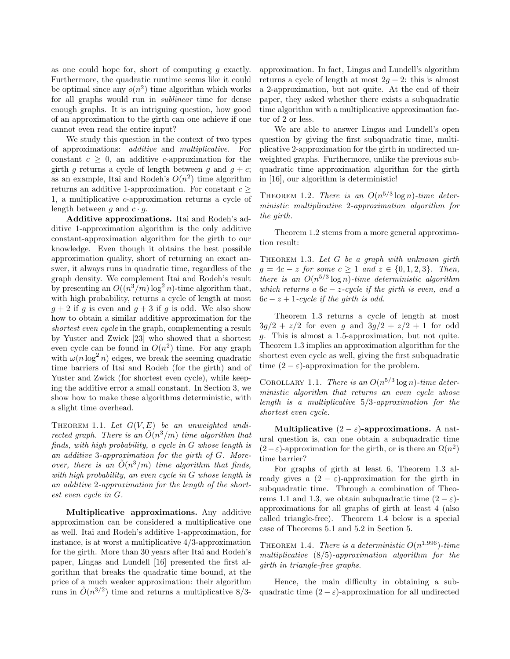as one could hope for, short of computing  $q$  exactly. Furthermore, the quadratic runtime seems like it could be optimal since any  $o(n^2)$  time algorithm which works for all graphs would run in *sublinear* time for dense enough graphs. It is an intriguing question, how good of an approximation to the girth can one achieve if one cannot even read the entire input?

We study this question in the context of two types of approximations: *additive* and *multiplicative*. For constant  $c \geq 0$ , an additive c-approximation for the girth g returns a cycle of length between g and  $g + c$ ; as an example, Itai and Rodeh's  $O(n^2)$  time algorithm returns an additive 1-approximation. For constant  $c \geq$ 1, a multiplicative c-approximation returns a cycle of length between g and  $c \cdot g$ .

Additive approximations. Itai and Rodeh's additive 1-approximation algorithm is the only additive constant-approximation algorithm for the girth to our knowledge. Even though it obtains the best possible approximation quality, short of returning an exact answer, it always runs in quadratic time, regardless of the graph density. We complement Itai and Rodeh's result by presenting an  $O((n^3/m) \log^2 n)$ -time algorithm that, with high probability, returns a cycle of length at most  $g + 2$  if g is even and  $g + 3$  if g is odd. We also show how to obtain a similar additive approximation for the *shortest even cycle* in the graph, complementing a result by Yuster and Zwick [23] who showed that a shortest even cycle can be found in  $O(n^2)$  time. For any graph with  $\omega(n \log^2 n)$  edges, we break the seeming quadratic time barriers of Itai and Rodeh (for the girth) and of Yuster and Zwick (for shortest even cycle), while keeping the additive error a small constant. In Section 3, we show how to make these algorithms deterministic, with a slight time overhead.

THEOREM 1.1. Let  $G(V, E)$  be an unweighted undi*rected graph. There is an*  $\tilde{O}(n^3/m)$  *time algorithm that finds, with high probability, a cycle in* G *whose length is an additive* 3*-approximation for the girth of* G*. Moreover, there is an*  $\tilde{O}(n^3/m)$  *time algorithm that finds, with high probability, an even cycle in* G *whose length is an additive* 2*-approximation for the length of the shortest even cycle in* G*.*

Multiplicative approximations. Any additive approximation can be considered a multiplicative one as well. Itai and Rodeh's additive 1-approximation, for instance, is at worst a multiplicative 4/3-approximation for the girth. More than 30 years after Itai and Rodeh's paper, Lingas and Lundell [16] presented the first algorithm that breaks the quadratic time bound, at the price of a much weaker approximation: their algorithm runs in  $\tilde{O}(n^{3/2})$  time and returns a multiplicative 8/3-

approximation. In fact, Lingas and Lundell's algorithm returns a cycle of length at most  $2g + 2$ : this is almost a 2-approximation, but not quite. At the end of their paper, they asked whether there exists a subquadratic time algorithm with a multiplicative approximation factor of 2 or less.

We are able to answer Lingas and Lundell's open question by giving the first subquadratic time, multiplicative 2-approximation for the girth in undirected unweighted graphs. Furthermore, unlike the previous subquadratic time approximation algorithm for the girth in [16], our algorithm is deterministic!

THEOREM 1.2. *There is an*  $O(n^{5/3} \log n)$ -time deter*ministic multiplicative* 2*-approximation algorithm for the girth.*

Theorem 1.2 stems from a more general approximation result:

Theorem 1.3. *Let* G *be a graph with unknown girth*  $g = 4c - z$  *for some*  $c \geq 1$  *and*  $z \in \{0, 1, 2, 3\}$ *. Then, there is an*  $O(n^{5/3} \log n)$ *-time deterministic algorithm which returns a* 6c − z*-cycle if the girth is even, and a*  $6c - z + 1$ *-cycle if the girth is odd.* 

Theorem 1.3 returns a cycle of length at most  $3g/2 + z/2$  for even g and  $3g/2 + z/2 + 1$  for odd g. This is almost a 1.5-approximation, but not quite. Theorem 1.3 implies an approximation algorithm for the shortest even cycle as well, giving the first subquadratic time  $(2 - \varepsilon)$ -approximation for the problem.

COROLLARY 1.1. *There is an*  $O(n^{5/3} \log n)$ -time deter*ministic algorithm that returns an even cycle whose length is a multiplicative* 5/3*-approximation for the shortest even cycle.*

Multiplicative  $(2 - \varepsilon)$ -approximations. A natural question is, can one obtain a subquadratic time  $(2 - \varepsilon)$ -approximation for the girth, or is there an  $\Omega(n^2)$ time barrier?

For graphs of girth at least 6, Theorem 1.3 already gives a  $(2 - \varepsilon)$ -approximation for the girth in subquadratic time. Through a combination of Theorems 1.1 and 1.3, we obtain subquadratic time  $(2 - \varepsilon)$ approximations for all graphs of girth at least 4 (also called triangle-free). Theorem 1.4 below is a special case of Theorems 5.1 and 5.2 in Section 5.

THEOREM 1.4. *There is a deterministic*  $O(n^{1.996})$ -time *multiplicative* (8/5)*-approximation algorithm for the girth in triangle-free graphs.*

Hence, the main difficulty in obtaining a subquadratic time  $(2 - \varepsilon)$ -approximation for all undirected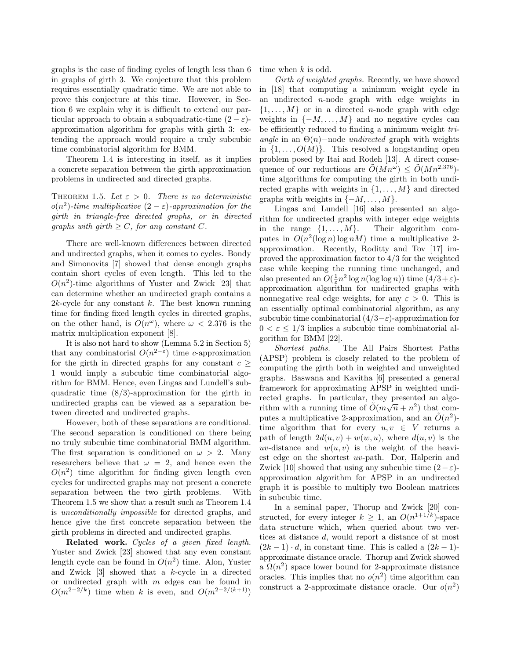graphs is the case of finding cycles of length less than 6 in graphs of girth 3. We conjecture that this problem requires essentially quadratic time. We are not able to prove this conjecture at this time. However, in Section 6 we explain why it is difficult to extend our particular approach to obtain a subquadratic-time  $(2 - \varepsilon)$ approximation algorithm for graphs with girth 3: extending the approach would require a truly subcubic time combinatorial algorithm for BMM.

Theorem 1.4 is interesting in itself, as it implies a concrete separation between the girth approximation problems in undirected and directed graphs.

THEOREM 1.5. Let  $\varepsilon > 0$ . There is no deterministic  $o(n^2)$ -time multiplicative  $(2 - \varepsilon)$ -approximation for the *girth in triangle-free directed graphs, or in directed graphs with girth*  $\geq C$ *, for any constant* C*.* 

There are well-known differences between directed and undirected graphs, when it comes to cycles. Bondy and Simonovits [7] showed that dense enough graphs contain short cycles of even length. This led to the  $O(n^2)$ -time algorithms of Yuster and Zwick [23] that can determine whether an undirected graph contains a 2k-cycle for any constant  $k$ . The best known running time for finding fixed length cycles in directed graphs, on the other hand, is  $O(n^{\omega})$ , where  $\omega < 2.376$  is the matrix multiplication exponent [8].

It is also not hard to show (Lemma 5.2 in Section 5) that any combinatorial  $O(n^{2-\epsilon})$  time c-approximation for the girth in directed graphs for any constant  $c >$ 1 would imply a subcubic time combinatorial algorithm for BMM. Hence, even Lingas and Lundell's subquadratic time (8/3)-approximation for the girth in undirected graphs can be viewed as a separation between directed and undirected graphs.

However, both of these separations are conditional. The second separation is conditioned on there being no truly subcubic time combinatorial BMM algorithm. The first separation is conditioned on  $\omega > 2$ . Many researchers believe that  $\omega = 2$ , and hence even the  $O(n^2)$  time algorithm for finding given length even cycles for undirected graphs may not present a concrete separation between the two girth problems. With Theorem 1.5 we show that a result such as Theorem 1.4 is *unconditionally impossible* for directed graphs, and hence give the first concrete separation between the girth problems in directed and undirected graphs.

Related work. *Cycles of a given fixed length.* Yuster and Zwick [23] showed that any even constant length cycle can be found in  $O(n^2)$  time. Alon, Yuster and Zwick [3] showed that a k-cycle in a directed or undirected graph with  $m$  edges can be found in  $O(m^{2-2/k})$  time when k is even, and  $O(m^{2-2/(k+1)})$ 

time when k is odd.

*Girth of weighted graphs.* Recently, we have showed in [18] that computing a minimum weight cycle in an undirected n-node graph with edge weights in  $\{1, \ldots, M\}$  or in a directed *n*-node graph with edge weights in  $\{-M, \ldots, M\}$  and no negative cycles can be efficiently reduced to finding a minimum weight *triangle* in an Θ(n)−node *undirected* graph with weights in  $\{1, \ldots, O(M)\}\$ . This resolved a longstanding open problem posed by Itai and Rodeh [13]. A direct consequence of our reductions are  $\tilde{O}(Mn^{\omega}) \leq \tilde{O}(Mn^{2.376})$ time algorithms for computing the girth in both undirected graphs with weights in  $\{1, \ldots, M\}$  and directed graphs with weights in  $\{-M, \ldots, M\}$ .

Lingas and Lundell [16] also presented an algorithm for undirected graphs with integer edge weights in the range  $\{1, \ldots, M\}$ . Their algorithm computes in  $O(n^2(\log n) \log nM)$  time a multiplicative 2approximation. Recently, Roditty and Tov [17] improved the approximation factor to 4/3 for the weighted case while keeping the running time unchanged, and also presented an  $O(\frac{1}{\varepsilon}n^2 \log n(\log \log n))$  time  $(4/3 + \varepsilon)$ approximation algorithm for undirected graphs with nonnegative real edge weights, for any  $\varepsilon > 0$ . This is an essentially optimal combinatorial algorithm, as any subcubic time combinatorial  $(4/3-\varepsilon)$ -approximation for  $0 < \varepsilon \leq 1/3$  implies a subcubic time combinatorial algorithm for BMM [22].

*Shortest paths.* The All Pairs Shortest Paths (APSP) problem is closely related to the problem of computing the girth both in weighted and unweighted graphs. Baswana and Kavitha [6] presented a general framework for approximating APSP in weighted undirected graphs. In particular, they presented an algorithm with a running time of  $\tilde{O}(m\sqrt{n}+n^2)$  that computes a multiplicative 2-approximation, and an  $\tilde{O}(n^2)$ time algorithm that for every  $u, v \in V$  returns a path of length  $2d(u, v) + w(w, u)$ , where  $d(u, v)$  is the uv-distance and  $w(u, v)$  is the weight of the heaviest edge on the shortest uv-path. Dor, Halperin and Zwick [10] showed that using any subcubic time  $(2-\varepsilon)$ approximation algorithm for APSP in an undirected graph it is possible to multiply two Boolean matrices in subcubic time.

In a seminal paper, Thorup and Zwick [20] constructed, for every integer  $k \geq 1$ , an  $O(n^{1+1/k})$ -space data structure which, when queried about two vertices at distance d, would report a distance of at most  $(2k-1) \cdot d$ , in constant time. This is called a  $(2k-1)$ approximate distance oracle. Thorup and Zwick showed a  $\Omega(n^2)$  space lower bound for 2-approximate distance oracles. This implies that no  $o(n^2)$  time algorithm can construct a 2-approximate distance oracle. Our  $o(n^2)$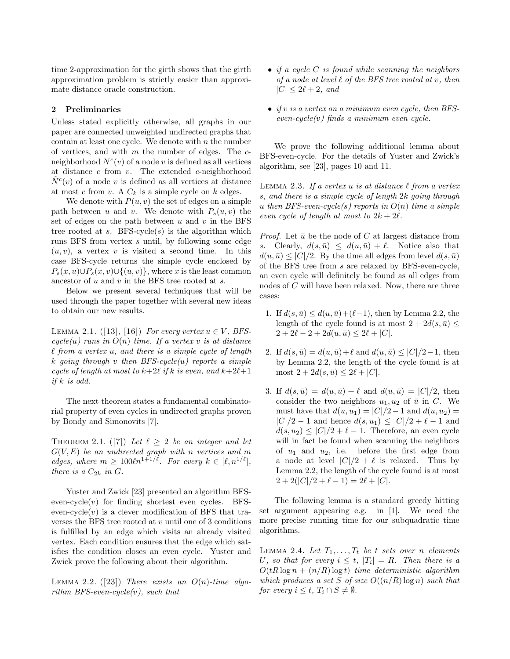time 2-approximation for the girth shows that the girth approximation problem is strictly easier than approximate distance oracle construction.

# 2 Preliminaries

Unless stated explicitly otherwise, all graphs in our paper are connected unweighted undirected graphs that contain at least one cycle. We denote with  $n$  the number of vertices, and with  $m$  the number of edges. The  $c$ neighborhood  $N^c(v)$  of a node v is defined as all vertices at distance  $c$  from  $v$ . The extended  $c$ -neighborhood  $\tilde{N}^c(v)$  of a node v is defined as all vertices at distance at most c from v. A  $C_k$  is a simple cycle on k edges.

We denote with  $P(u, v)$  the set of edges on a simple path between u and v. We denote with  $P_s(u, v)$  the set of edges on the path between  $u$  and  $v$  in the BFS tree rooted at  $s$ . BFS-cycle $(s)$  is the algorithm which runs BFS from vertex s until, by following some edge  $(u, v)$ , a vertex v is visited a second time. In this case BFS-cycle returns the simple cycle enclosed by  $P_s(x, u) \cup P_s(x, v) \cup \{(u, v)\}\text{, where } x \text{ is the least common.}$ ancestor of u and v in the BFS tree rooted at s.

Below we present several techniques that will be used through the paper together with several new ideas to obtain our new results.

LEMMA 2.1.  $([13], [16])$  *For every vertex*  $u \in V$ *, BFS* $cycle(u)$  *runs in*  $O(n)$  *time. If a vertex v is at distance* ℓ *from a vertex* u*, and there is a simple cycle of length* k *going through* v *then BFS-cycle(*u*) reports a simple cycle of length at most to*  $k+2\ell$  *if* k *is even, and*  $k+2\ell+1$ *if* k *is odd.*

The next theorem states a fundamental combinatorial property of even cycles in undirected graphs proven by Bondy and Simonovits [7].

THEOREM 2.1. ([7]) Let  $\ell \geq 2$  be an integer and let G(V, E) *be an undirected graph with* n *vertices and* m *edges, where*  $m \geq 100\ln^{1+1/\ell}$ *. For every*  $k \in [\ell, n^{1/\ell}]$ *, there is a*  $C_{2k}$  *in*  $G$ *.* 

Yuster and Zwick [23] presented an algorithm BFSeven-cycle $(v)$  for finding shortest even cycles. BFSeven-cycle $(v)$  is a clever modification of BFS that traverses the BFS tree rooted at  $v$  until one of 3 conditions is fulfilled by an edge which visits an already visited vertex. Each condition ensures that the edge which satisfies the condition closes an even cycle. Yuster and Zwick prove the following about their algorithm.

LEMMA 2.2.  $([23])$  *There exists an O(n)-time algorithm BFS-even-cycle(*v*), such that*

- *if a cycle* C *is found while scanning the neighbors of a node at level* ℓ *of the BFS tree rooted at* v*, then*  $|C| \leq 2\ell + 2$ *, and*
- *if* v *is a vertex on a minimum even cycle, then BFSeven-cycle(*v*) finds a minimum even cycle.*

We prove the following additional lemma about BFS-even-cycle. For the details of Yuster and Zwick's algorithm, see [23], pages 10 and 11.

LEMMA 2.3. If a vertex  $u$  is at distance  $\ell$  from a vertex s*, and there is a simple cycle of length* 2k *going through* u *then BFS-even-cycle(*s*) reports in* O(n) *time a simple even cycle of length at most to*  $2k + 2\ell$ *.* 

*Proof.* Let  $\bar{u}$  be the node of C at largest distance from s. Clearly,  $d(s, \bar{u}) \leq d(u, \bar{u}) + \ell$ . Notice also that  $d(u, \bar{u}) \leq |C|/2$ . By the time all edges from level  $d(s, \bar{u})$ of the BFS tree from s are relaxed by BFS-even-cycle, an even cycle will definitely be found as all edges from nodes of C will have been relaxed. Now, there are three cases:

- 1. If  $d(s, \bar{u}) \leq d(u, \bar{u}) + (\ell 1)$ , then by Lemma 2.2, the length of the cycle found is at most  $2 + 2d(s, \bar{u}) \leq$  $2 + 2\ell - 2 + 2d(u, \bar{u}) \leq 2\ell + |C|.$
- 2. If  $d(s, \bar{u}) = d(u, \bar{u}) + \ell$  and  $d(u, \bar{u}) \leq |C|/2 1$ , then by Lemma 2.2, the length of the cycle found is at most  $2 + 2d(s, \bar{u}) \leq 2\ell + |C|$ .
- 3. If  $d(s, \bar{u}) = d(u, \bar{u}) + \ell$  and  $d(u, \bar{u}) = |C|/2$ , then consider the two neighbors  $u_1, u_2$  of  $\bar{u}$  in C. We must have that  $d(u, u_1) = |C|/2 - 1$  and  $d(u, u_2) =$  $|C|/2 - 1$  and hence  $d(s, u_1) \leq |C|/2 + \ell - 1$  and  $d(s, u_2) \leq |C|/2 + \ell - 1$ . Therefore, an even cycle will in fact be found when scanning the neighbors of  $u_1$  and  $u_2$ , i.e. before the first edge from a node at level  $|C|/2 + \ell$  is relaxed. Thus by Lemma 2.2, the length of the cycle found is at most  $2 + 2(|C|/2 + \ell - 1) = 2\ell + |C|.$

The following lemma is a standard greedy hitting set argument appearing e.g. in [1]. We need the more precise running time for our subquadratic time algorithms.

LEMMA 2.4. Let  $T_1, \ldots, T_t$  be t sets over n elements U<sub>r</sub>, so that for every  $i \leq t$ ,  $|T_i| = R$ . Then there is a  $O(tR \log n + (n/R) \log t)$  *time deterministic algorithm which produces a set* S *of size*  $O((n/R) \log n)$  *such that for every*  $i \leq t$ ,  $T_i \cap S \neq \emptyset$ *.*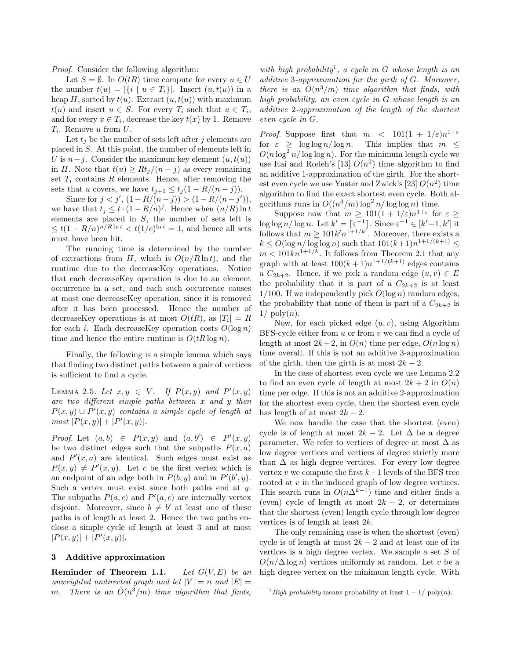*Proof.* Consider the following algorithm:

Let  $S = \emptyset$ . In  $O(tR)$  time compute for every  $u \in U$ the number  $t(u) = |\{i \mid u \in T_i\}|$ . Insert  $(u, t(u))$  in a heap H, sorted by  $t(u)$ . Extract  $(u, t(u))$  with maximum  $t(u)$  and insert  $u \in S$ . For every  $T_i$  such that  $u \in T_i$ , and for every  $x \in T_i$ , decrease the key  $t(x)$  by 1. Remove  $T_i$ . Remove u from  $U$ .

Let  $t_i$  be the number of sets left after j elements are placed in S. At this point, the number of elements left in U is  $n-j$ . Consider the maximum key element  $(u, t(u))$ in H. Note that  $t(u) \geq Rt_i/(n-j)$  as every remaining set  $T_i$  contains R elements. Hence, after removing the sets that u covers, we have  $t_{j+1} \leq t_j (1 - R/(n-j)).$ 

Since for  $j < j', (1 - R/(n-j)) > (1 - R/(n-j'))$ , we have that  $t_j \leq t \cdot (1 - R/n)^j$ . Hence when  $(n/R) \ln t$ elements are placed in S, the number of sets left is  $\leq t(1 - R/n)^{n/R \ln t} < t(1/e)^{\ln t} = 1$ , and hence all sets must have been hit.

The running time is determined by the number of extractions from H, which is  $O(n/R \ln t)$ , and the runtime due to the decreaseKey operations. Notice that each decreaseKey operation is due to an element occurrence in a set, and each such occurrence causes at most one decreaseKey operation, since it is removed after it has been processed. Hence the number of decreaseKey operations is at most  $O(tR)$ , as  $|T_i| = R$ for each i. Each decreaseKey operation costs  $O(\log n)$ time and hence the entire runtime is  $O(tR \log n)$ .

Finally, the following is a simple lemma which says that finding two distinct paths between a pair of vertices is sufficient to find a cycle.

LEMMA 2.5. Let  $x, y \in V$ . If  $P(x, y)$  and  $P'(x, y)$ *are two different simple paths between* x *and* y *then*  $P(x,y) \cup P'(x,y)$  contains a simple cycle of length at  $most |P(x, y)| + |P'(x, y)|.$ 

*Proof.* Let  $(a, b) \in P(x, y)$  and  $(a, b') \in P'(x, y)$ be two distinct edges such that the subpaths  $P(x, a)$ and  $P'(x, a)$  are identical. Such edges must exist as  $P(x, y) \neq P'(x, y)$ . Let c be the first vertex which is an endpoint of an edge both in  $P(b, y)$  and in  $P'(b', y)$ . Such a vertex must exist since both paths end at  $y$ . The subpaths  $P(a, c)$  and  $P'(a, c)$  are internally vertex disjoint. Moreover, since  $b \neq b'$  at least one of these paths is of length at least 2. Hence the two paths enclose a simple cycle of length at least 3 and at most  $|P(x,y)| + |P'(x,y)|.$ 

## 3 Additive approximation

Reminder of Theorem 1.1. *Let* G(V, E) *be an unweighted undirected graph and let*  $|V| = n$  *and*  $|E|$ m. There is an  $\tilde{O}(n^3/m)$  time algorithm that finds,

*with high probability*<sup>1</sup> *, a cycle in* G *whose length is an additive* 3*-approximation for the girth of* G*. Moreover, there is an*  $O(n^3/m)$  *time algorithm that finds, with high probability, an even cycle in* G *whose length is an additive* 2*-approximation of the length of the shortest even cycle in* G*.*

*Proof.* Suppose first that  $m < 101(1 + 1/\varepsilon)n^{1+\varepsilon}$ for  $\varepsilon \geq \log \log n / \log n$ . This implies that  $m \leq$  $O(n \log^2 n / \log \log n)$ . For the minimum length cycle we use Itai and Rodeh's [13]  $O(n^2)$  time algorithm to find an additive 1-approximation of the girth. For the shortest even cycle we use Yuster and Zwick's [23]  $O(n^2)$  time algorithm to find the exact shortest even cycle. Both algorithms runs in  $O((n^3/m) \log^2 n / \log \log n)$  time.

Suppose now that  $m \geq 101(1+1/\varepsilon)n^{1+\varepsilon}$  for  $\varepsilon \geq$  $\log \log n / \log n$ . Let  $k' = \lceil \varepsilon^{-1} \rceil$ . Since  $\varepsilon^{-1} \in [k'-1, k']$  it follows that  $m \ge 101k'n^{1+1/k'}$ . Moreover, there exists a  $k \leq O(\log n / \log \log n)$  such that  $101(k+1)n^{1+1/(k+1)} \leq$  $m < 101k n^{1+1/k}$ . It follows from Theorem 2.1 that any graph with at least  $100(k+1)n^{1+1/(k+1)}$  edges contains a  $C_{2k+2}$ . Hence, if we pick a random edge  $(u, v) \in E$ the probability that it is part of a  $C_{2k+2}$  is at least 1/100. If we independently pick  $O(\log n)$  random edges, the probability that none of them is part of a  $C_{2k+2}$  is  $1/\text{poly}(n)$ .

Now, for each picked edge  $(u, v)$ , using Algorithm BFS-cycle either from  $u$  or from  $v$  we can find a cycle of length at most  $2k + 2$ , in  $O(n)$  time per edge,  $O(n \log n)$ time overall. If this is not an additive 3-approximation of the girth, then the girth is at most  $2k - 2$ .

In the case of shortest even cycle we use Lemma 2.2 to find an even cycle of length at most  $2k + 2$  in  $O(n)$ time per edge. If this is not an additive 2-approximation for the shortest even cycle, then the shortest even cycle has length of at most  $2k - 2$ .

We now handle the case that the shortest (even) cycle is of length at most  $2k-2$ . Let  $\Delta$  be a degree parameter. We refer to vertices of degree at most  $\Delta$  as low degree vertices and vertices of degree strictly more than  $\Delta$  as high degree vertices. For every low degree vertex v we compute the first  $k-1$  levels of the BFS tree rooted at v in the induced graph of low degree vertices. This search runs in  $O(n\Delta^{k-1})$  time and either finds a (even) cycle of length at most  $2k - 2$ , or determines that the shortest (even) length cycle through low degree vertices is of length at least 2k.

The only remaining case is when the shortest (even) cycle is of length at most  $2k - 2$  and at least one of its vertices is a high degree vertex. We sample a set S of  $O(n/\Delta \log n)$  vertices uniformly at random. Let v be a high degree vertex on the minimum length cycle. With

 $\overline{High}$  probability means probability at least  $1 - 1/\text{poly}(n)$ .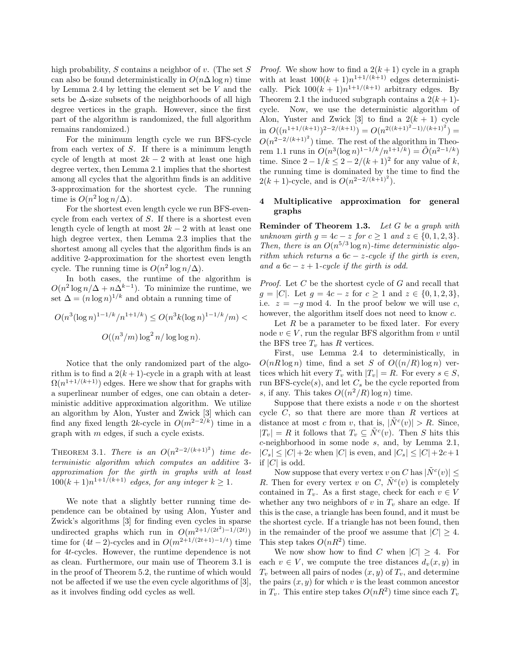high probability,  $S$  contains a neighbor of  $v$ . (The set  $S$ can also be found deterministically in  $O(n\Delta \log n)$  time by Lemma 2.4 by letting the element set be V and the sets be ∆-size subsets of the neighborhoods of all high degree vertices in the graph. However, since the first part of the algorithm is randomized, the full algorithm remains randomized.)

For the minimum length cycle we run BFS-cycle from each vertex of S. If there is a minimum length cycle of length at most  $2k - 2$  with at least one high degree vertex, then Lemma 2.1 implies that the shortest among all cycles that the algorithm finds is an additive 3-approximation for the shortest cycle. The running time is  $O(n^2 \log n/\Delta)$ .

For the shortest even length cycle we run BFS-evencycle from each vertex of S. If there is a shortest even length cycle of length at most  $2k - 2$  with at least one high degree vertex, then Lemma 2.3 implies that the shortest among all cycles that the algorithm finds is an additive 2-approximation for the shortest even length cycle. The running time is  $O(n^2 \log n/\Delta)$ .

In both cases, the runtime of the algorithm is  $O(n^2 \log n / \Delta + n \Delta^{k-1})$ . To minimize the runtime, we set  $\Delta = (n \log n)^{1/k}$  and obtain a running time of

$$
O(n^3(\log n)^{1-1/k}/n^{1+1/k}) \le O(n^3k(\log n)^{1-1/k}/m) <
$$
  

$$
O((n^3/m)\log^2 n/\log\log n).
$$

Notice that the only randomized part of the algorithm is to find a  $2(k+1)$ -cycle in a graph with at least  $\Omega(n^{1+1/(k+1)})$  edges. Here we show that for graphs with a superlinear number of edges, one can obtain a deterministic additive approximation algorithm. We utilize an algorithm by Alon, Yuster and Zwick [3] which can find any fixed length 2k-cycle in  $O(m^{2-2/k})$  time in a graph with m edges, if such a cycle exists.

THEOREM 3.1. *There is an*  $O(n^{2-2/(k+1)^2})$  *time deterministic algorithm which computes an additive* 3 *approximation for the girth in graphs with at least*  $100(k+1)n^{1+1/(k+1)}$  *edges, for any integer*  $k \ge 1$ *.* 

We note that a slightly better running time dependence can be obtained by using Alon, Yuster and Zwick's algorithms [3] for finding even cycles in sparse undirected graphs which run in  $O(m^{2+1/(2t^2)-1/(2t)})$ time for  $(4t-2)$ -cycles and in  $O(m^{2+1/(2t+1)-1/t})$  time for 4t-cycles. However, the runtime dependence is not as clean. Furthermore, our main use of Theorem 3.1 is in the proof of Theorem 5.2, the runtime of which would not be affected if we use the even cycle algorithms of [3], as it involves finding odd cycles as well.

*Proof.* We show how to find a  $2(k+1)$  cycle in a graph with at least  $100(k+1)n^{1+1/(k+1)}$  edges deterministically. Pick  $100(k + 1)n^{1+1/(k+1)}$  arbitrary edges. By Theorem 2.1 the induced subgraph contains a  $2(k+1)$ cycle. Now, we use the deterministic algorithm of Alon, Yuster and Zwick [3] to find a  $2(k + 1)$  cycle in  $O((n^{1+1/(k+1)})^{2-2/(k+1)}) = O(n^{2((k+1)^2-1)/(k+1)^2}) =$  $O(n^{2-2/(k+1)^2})$  time. The rest of the algorithm in Theorem 1.1 runs in  $O(n^3(\log n)^{1-1/k}/n^{1+1/k}) = \tilde{O}(n^{2-1/k})$ time. Since  $2 - 1/k \le 2 - 2/(k+1)^2$  for any value of k, the running time is dominated by the time to find the  $2(k+1)$ -cycle, and is  $O(n^{2-2/(k+1)^2})$ .

# 4 Multiplicative approximation for general graphs

Reminder of Theorem 1.3. *Let* G *be a graph with unknown girth*  $g = 4c - z$  *for*  $c \ge 1$  *and*  $z \in \{0, 1, 2, 3\}.$ Then, there is an  $O(n^{5/3} \log n)$ -time deterministic algo*rithm which returns a* 6c − z*-cycle if the girth is even, and a*  $6c - z + 1$ *-cycle if the girth is odd.* 

*Proof.* Let C be the shortest cycle of G and recall that  $g = |C|$ . Let  $g = 4c - z$  for  $c \ge 1$  and  $z \in \{0, 1, 2, 3\},$ i.e.  $z = -g \mod 4$ . In the proof below we will use c, however, the algorithm itself does not need to know c.

Let  $R$  be a parameter to be fixed later. For every node  $v \in V$ , run the regular BFS algorithm from v until the BFS tree  $T_v$  has R vertices.

First, use Lemma 2.4 to deterministically, in  $O(nR \log n)$  time, find a set S of  $O((n/R) \log n)$  vertices which hit every  $T_v$  with  $|T_v| = R$ . For every  $s \in S$ , run BFS-cycle $(s)$ , and let  $C_s$  be the cycle reported from s, if any. This takes  $O((n^2/R) \log n)$  time.

Suppose that there exists a node  $v$  on the shortest cycle  $C$ , so that there are more than  $R$  vertices at distance at most c from v, that is,  $|\tilde{N}^c(v)| > R$ . Since,  $|T_v| = R$  it follows that  $T_v \subseteq \tilde{N}^c(v)$ . Then S hits this c-neighborhood in some node s, and, by Lemma 2.1,  $|C_s| \leq |C| + 2c$  when  $|C|$  is even, and  $|C_s| \leq |C| + 2c + 1$ if  $|C|$  is odd.

Now suppose that every vertex  $v$  on C has  $|\tilde{N}^c(v)| \le$ R. Then for every vertex v on C,  $\tilde{N}^c(v)$  is completely contained in  $T_v$ . As a first stage, check for each  $v \in V$ whether any two neighbors of  $v$  in  $T_v$  share an edge. If this is the case, a triangle has been found, and it must be the shortest cycle. If a triangle has not been found, then in the remainder of the proof we assume that  $|C| > 4$ . This step takes  $O(nR^2)$  time.

We now show how to find C when  $|C| \geq 4$ . For each  $v \in V$ , we compute the tree distances  $d_v(x, y)$  in  $T_v$  between all pairs of nodes  $(x, y)$  of  $T_v$ , and determine the pairs  $(x, y)$  for which v is the least common ancestor in  $T_v$ . This entire step takes  $O(nR^2)$  time since each  $T_v$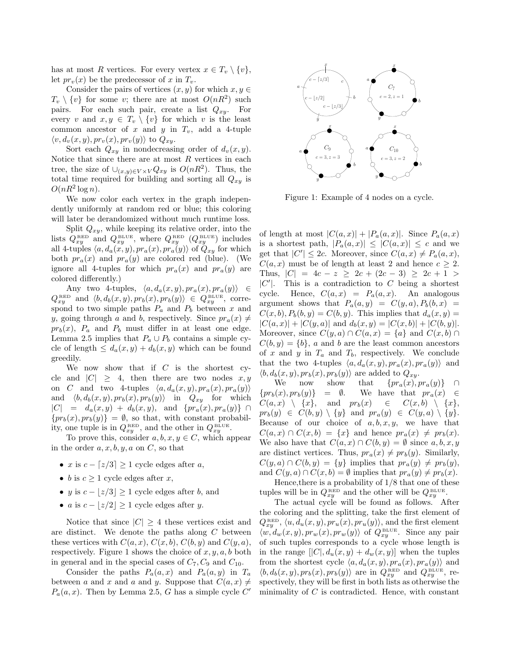has at most R vertices. For every vertex  $x \in T_v \setminus \{v\},\$ let  $pr_v(x)$  be the predecessor of x in  $T_v$ .

Consider the pairs of vertices  $(x, y)$  for which  $x, y \in \mathbb{R}$  $T_v \setminus \{v\}$  for some v; there are at most  $O(nR^2)$  such pairs. For each such pair, create a list  $Q_{xy}$ . For every v and  $x, y \in T_v \setminus \{v\}$  for which v is the least common ancestor of x and y in  $T_v$ , add a 4-tuple  $\langle v, d_v(x, y), pr_v(x), pr_v(y) \rangle$  to  $Q_{xy}$ .

Sort each  $Q_{xy}$  in nondecreasing order of  $d_v(x, y)$ . Notice that since there are at most  $R$  vertices in each tree, the size of  $\bigcup_{(x,y)\in V\times V} Q_{xy}$  is  $O(nR^2)$ . Thus, the total time required for building and sorting all  $Q_{xy}$  is  $O(nR^2 \log n)$ .

We now color each vertex in the graph independently uniformly at random red or blue; this coloring will later be derandomized without much runtime loss.

Split  $Q_{xy}$ , while keeping its relative order, into the lists  $Q_{xy}^{\text{\tiny RED}}$  and  $Q_{xy}^{\text{\tiny BLUE}}$ , where  $Q_{xy}^{\text{\tiny RED}}$   $(Q_{xy}^{\text{\tiny BLUE}})$  includes all 4-tuples  $\langle a, d_a(x, y), pr_a(x), pr_a(y) \rangle$  of  $Q_{xy}$  for which both  $pr_a(x)$  and  $pr_a(y)$  are colored red (blue). (We ignore all 4-tuples for which  $pr_a(x)$  and  $pr_a(y)$  are colored differently.)

Any two 4-tuples,  $\langle a, d_a(x, y), pr_a(x), pr_a(y) \rangle \in$  $Q_{xy}^{\text{\tiny RED}}$  and  $\langle b, d_b(x, y), pr_b(x), pr_b(y) \rangle \in Q_{xy}^{\text{\tiny BLUE}}$ , correspond to two simple paths  $P_a$  and  $P_b$  between x and y, going through a and b, respectively. Since  $pr_a(x) \neq$  $pr_b(x)$ ,  $P_a$  and  $P_b$  must differ in at least one edge. Lemma 2.5 implies that  $P_a \cup P_b$  contains a simple cycle of length  $\leq d_a(x, y) + d_b(x, y)$  which can be found greedily.

We now show that if  $C$  is the shortest cycle and  $|C| \geq 4$ , then there are two nodes  $x, y$ on C and two 4-tuples  $\langle a, d_a(x, y), pr_a(x), pr_a(y)\rangle$ and  $\langle b, d_b(x, y), pr_b(x), pr_b(y)\rangle$  in  $Q_{xy}$  for which  $|C| = d_a(x, y) + d_b(x, y)$ , and  $\{pr_a(x), pr_a(y)\} \cap$  ${pr_b(x), pr_b(y)} = \emptyset$ , so that, with constant probability, one tuple is in  $Q_{xy}^{\text{\tiny RED}}$ , and the other in  $Q_{xy}^{\text{\tiny BLUE}}$ .

To prove this, consider  $a, b, x, y \in C$ , which appear in the order  $a, x, b, y, a$  on  $C$ , so that

- x is  $c \lfloor z/3 \rfloor \geq 1$  cycle edges after a,
- b is  $c \geq 1$  cycle edges after x,
- y is  $c |z/3| \geq 1$  cycle edges after b, and
- a is  $c |z/2| \geq 1$  cycle edges after y.

Notice that since  $|C| \geq 4$  these vertices exist and are distinct. We denote the paths along  $C$  between these vertices with  $C(a, x)$ ,  $C(x, b)$ ,  $C(b, y)$  and  $C(y, a)$ , respectively. Figure 1 shows the choice of  $x, y, a, b$  both in general and in the special cases of  $C_7$ ,  $C_9$  and  $C_{10}$ .

Consider the paths  $P_a(a, x)$  and  $P_a(a, y)$  in  $T_a$ between a and x and a and y. Suppose that  $C(a, x) \neq$  $P_a(a, x)$ . Then by Lemma 2.5, G has a simple cycle C'



Figure 1: Example of 4 nodes on a cycle.

of length at most  $|C(a,x)| + |P_a(a,x)|$ . Since  $P_a(a,x)$ is a shortest path,  $|P_a(a,x)| \leq |C(a,x)| \leq c$  and we get that  $|C'| \leq 2c$ . Moreover, since  $C(a, x) \neq P_a(a, x)$ ,  $C(a, x)$  must be of length at least 2 and hence  $c \geq 2$ . Thus,  $|C| = 4c - z \geq 2c + (2c - 3) \geq 2c + 1$  $|C'|$ . This is a contradiction to C being a shortest cycle. Hence,  $C(a, x) = P_a(a, x)$ . An analogous argument shows that  $P_a(a, y) = C(y, a), P_b(b, x) =$  $C(x, b), P_b(b, y) = C(b, y)$ . This implies that  $d_a(x, y) =$  $|C(a,x)| + |C(y,a)|$  and  $d_b(x,y) = |C(x,b)| + |C(b,y)|$ . Moreover, since  $C(y, a) \cap C(a, x) = \{a\}$  and  $C(x, b) \cap C(a, x) = \{a\}$  $C(b, y) = \{b\}, a$  and b are the least common ancestors of x and y in  $T_a$  and  $T_b$ , respectively. We conclude that the two 4-tuples  $\langle a, d_a(x, y), pr_a(x), pr_a(y)\rangle$  and  $\langle b, d_b(x, y), pr_b(x), pr_b(y) \rangle$  are added to  $Q_{xy}$ .<br>We now show that  $\{pr_a(x), p\}$ 

We now show that  $\{pr_a(x), pr_a(y)\}$  ∩<br> $\{pr_b(x), pr_b(y)\}$  =  $\emptyset$ . We have that  $pr_a(x) \in$ We have that  $pr_a(x) \in$ <br>  $p(x) \in C(x, b) \setminus \{x\},$  $C(a, x) \setminus \{x\}$ , and  $pr_b(x)$  $pr_b(y) \in C(b, y) \setminus \{y\}$  and  $pr_a(y) \in C(y, a) \setminus \{y\}.$ Because of our choice of  $a, b, x, y$ , we have that  $C(a, x) \cap C(x, b) = \{x\}$  and hence  $pr_a(x) \neq pr_b(x)$ . We also have that  $C(a, x) \cap C(b, y) = \emptyset$  since  $a, b, x, y$ are distinct vertices. Thus,  $pr_a(x) \neq pr_b(y)$ . Similarly,  $C(y, a) \cap C(b, y) = \{y\}$  implies that  $pr_a(y) \neq pr_b(y)$ , and  $C(y, a) \cap C(x, b) = \emptyset$  implies that  $pr_a(y) \neq pr_b(x)$ .

Hence,there is a probability of 1/8 that one of these tuples will be in  $Q_{xy}^{\text{\tiny RED}}$  and the other will be  $Q_{xy}^{\text{\tiny BLUE}}$ .

The actual cycle will be found as follows. After the coloring and the splitting, take the first element of  $Q_{xy}^{\text{\tiny RED}}, \langle u, d_u(x, y), pr_u(x), pr_u(y) \rangle$ , and the first element  $\langle w, d_w(x, y), pr_w(x), pr_w(y) \rangle$  of  $Q_{xy}^{\text{BLUE}}$ . Since any pair of such tuples corresponds to a cycle whose length is in the range  $[|C|, d_u(x, y) + d_w(x, y)]$  when the tuples from the shortest cycle  $\langle a, d_a(x, y), pr_a(x), pr_a(y) \rangle$  and  $\langle b, d_b(x, y), pr_b(x), pr_b(y) \rangle$  are in  $Q_{xy}^{\text{RED}}$  and  $Q_{xy}^{\text{BLEB}}$ , respectively, they will be first in both lists as otherwise the minimality of  $C$  is contradicted. Hence, with constant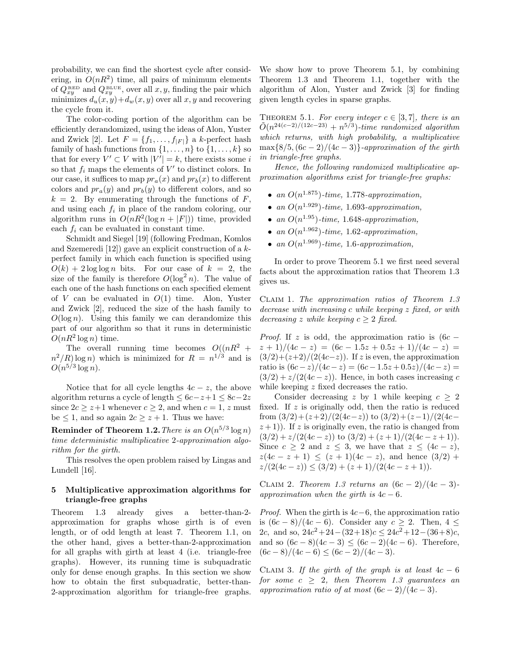probability, we can find the shortest cycle after considering, in  $O(nR^2)$  time, all pairs of minimum elements of  $Q_{xy}^{\text{\tiny{RED}}}$  and  $Q_{xy}^{\text{\tiny{BLEU}}}$ , over all  $x, y$ , finding the pair which minimizes  $d_u(x, y) + d_w(x, y)$  over all  $x, y$  and recovering the cycle from it.

The color-coding portion of the algorithm can be efficiently derandomized, using the ideas of Alon, Yuster and Zwick [2]. Let  $F = \{f_1, \ldots, f_{|F|}\}\$ a k-perfect hash family of hash functions from  $\{1, \ldots, n\}$  to  $\{1, \ldots, k\}$  so that for every  $V' \subset V$  with  $|V'| = k$ , there exists some i so that  $f_i$  maps the elements of  $V'$  to distinct colors. In our case, it suffices to map  $pr_a(x)$  and  $pr_b(x)$  to different colors and  $pr_a(y)$  and  $pr_b(y)$  to different colors, and so  $k = 2$ . By enumerating through the functions of F, and using each  $f_i$  in place of the random coloring, our algorithm runs in  $O(nR^2(\log n + |F|))$  time, provided each  $f_i$  can be evaluated in constant time.

Schmidt and Siegel [19] (following Fredman, Komlos and Szemeredi [12]) gave an explicit construction of a kperfect family in which each function is specified using  $O(k) + 2 \log \log n$  bits. For our case of  $k = 2$ , the size of the family is therefore  $O(\log^2 n)$ . The value of each one of the hash functions on each specified element of  $V$  can be evaluated in  $O(1)$  time. Alon, Yuster and Zwick [2], reduced the size of the hash family to  $O(\log n)$ . Using this family we can derandomize this part of our algorithm so that it runs in deterministic  $O(nR^2 \log n)$  time.

The overall running time becomes  $O((nR^2 +$  $n^2/R$  log n) which is minimized for  $R = n^{1/3}$  and is  $O(n^{5/3}\log n)$ .

Notice that for all cycle lengths  $4c - z$ , the above algorithm returns a cycle of length  $\leq 6c-z+1 \leq 8c-2z$ since  $2c \geq z+1$  whenever  $c \geq 2$ , and when  $c = 1$ , z must be  $\leq 1$ , and so again  $2c \geq z + 1$ . Thus we have:

 $\bf{Reminder\ of\ Theorem\ 1.2}.$  There is an  $O(n^{5/3}\log n)$ *time deterministic multiplicative* 2*-approximation algorithm for the girth.*

This resolves the open problem raised by Lingas and Lundell [16].

# 5 Multiplicative approximation algorithms for triangle-free graphs

Theorem 1.3 already gives a better-than-2 approximation for graphs whose girth is of even length, or of odd length at least 7. Theorem 1.1, on the other hand, gives a better-than-2-approximation for all graphs with girth at least 4 (i.e. triangle-free graphs). However, its running time is subquadratic only for dense enough graphs. In this section we show how to obtain the first subquadratic, better-than-2-approximation algorithm for triangle-free graphs.

We show how to prove Theorem 5.1, by combining Theorem 1.3 and Theorem 1.1, together with the algorithm of Alon, Yuster and Zwick [3] for finding given length cycles in sparse graphs.

THEOREM 5.1. For every integer  $c \in [3, 7]$ , there is an  $\tilde{O}(n^{24(c-2)/(12c-23)} + n^{5/3})$ -time randomized algorithm *which returns, with high probability, a multiplicative*  $\max\{8/5,(6c-2)/(4c-3)\}$ -approximation of the girth *in triangle-free graphs.*

*Hence, the following randomized multiplicative approximation algorithms exist for triangle-free graphs:*

- *an* O(n <sup>1</sup>.<sup>875</sup>)*-time,* 1.778*-approximation,*
- *an* O(n <sup>1</sup>.<sup>929</sup>)*-time,* 1.693*-approximation,*
- *an* O(n <sup>1</sup>.<sup>95</sup>)*-time,* 1.648*-approximation,*
- *an* O(n <sup>1</sup>.<sup>962</sup>)*-time,* 1.62*-approximation,*
- *an*  $O(n^{1.969})$ *-time,* 1.6*-approximation,*

In order to prove Theorem 5.1 we first need several facts about the approximation ratios that Theorem 1.3 gives us.

Claim 1. *The approximation ratios of Theorem 1.3 decrease with increasing* c *while keeping* z *fixed, or with decreasing* z *while keeping*  $c \geq 2$  *fixed.* 

*Proof.* If z is odd, the approximation ratio is  $(6c (z + 1)/(4c - z) = (6c - 1.5z + 0.5z + 1)/(4c - z) =$  $(3/2)+(z+2)/(2(4c-z))$ . If z is even, the approximation ratio is  $(6c - z)/(4c - z) = (6c - 1.5z + 0.5z)/(4c - z) =$  $(3/2) + z/(2(4c - z))$ . Hence, in both cases increasing c while keeping z fixed decreases the ratio.

Consider decreasing z by 1 while keeping  $c \geq 2$ fixed. If  $z$  is originally odd, then the ratio is reduced from  $\frac{3}{2} + \frac{z+2}{24c-z}$  to  $\frac{3}{2} + \frac{z-1}{24c-z}$  $(z+1)$ ). If z is originally even, the ratio is changed from  $(3/2) + z/(2(4c-z))$  to  $(3/2) + (z+1)/(2(4c-z+1)).$ Since  $c \geq 2$  and  $z \leq 3$ , we have that  $z \leq (4c - z)$ ,  $z(4c - z + 1) \leq (z + 1)(4c - z)$ , and hence  $(3/2)$  +  $z/(2(4c-z)) \leq (3/2) + (z+1)/(2(4c-z+1)).$ 

CLAIM 2. *Theorem 1.3 returns an*  $(6c - 2)/(4c - 3)$ *approximation when the girth is* 4c − 6*.*

*Proof.* When the girth is  $4c-6$ , the approximation ratio is  $(6c-8)/(4c-6)$ . Consider any  $c \geq 2$ . Then,  $4 \leq$ 2c, and so,  $24c^2 + 24 - (32+18)c \le 24c^2 + 12 - (36+8)c$ , and so  $(6c-8)(4c-3) < (6c-2)(4c-6)$ . Therefore,  $(6c-8)/(4c-6) \le (6c-2)/(4c-3).$ 

CLAIM 3. If the girth of the graph is at least  $4c - 6$ *for some*  $c \geq 2$ *, then Theorem 1.3 guarantees an approximation ratio of at most*  $(6c - 2)/(4c - 3)$ *.*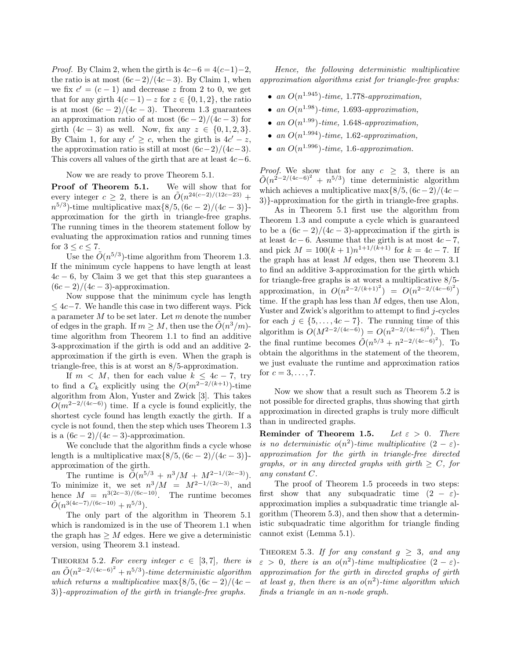*Proof.* By Claim 2, when the girth is  $4c-6 = 4(c-1)-2$ , the ratio is at most  $(6c-2)/(4c-3)$ . By Claim 1, when we fix  $c' = (c - 1)$  and decrease z from 2 to 0, we get that for any girth  $4(c-1)-z$  for  $z \in \{0,1,2\}$ , the ratio is at most  $(6c-2)/(4c-3)$ . Theorem 1.3 guarantees an approximation ratio of at most  $(6c-2)/(4c-3)$  for girth  $(4c - 3)$  as well. Now, fix any  $z \in \{0, 1, 2, 3\}.$ By Claim 1, for any  $c' \geq c$ , when the girth is  $4c' - z$ , the approximation ratio is still at most  $(6c-2)/(4c-3)$ . This covers all values of the girth that are at least  $4c-6$ .

Now we are ready to prove Theorem 5.1.

Proof of Theorem 5.1. We will show that for every integer  $c \geq 2$ , there is an  $\tilde{O}(n^{24(c-2)/(12c-23)} +$  $n^{5/3}$ )-time multiplicative max $\{8/5, (6c - 2)/(4c - 3)\}$ approximation for the girth in triangle-free graphs. The running times in the theorem statement follow by evaluating the approximation ratios and running times for  $3 \leq c \leq 7$ .

Use the  $\tilde{O}(n^{5/3})$ -time algorithm from Theorem 1.3. If the minimum cycle happens to have length at least  $4c - 6$ , by Claim 3 we get that this step guarantees a  $(6c - 2)/(4c - 3)$ -approximation.

Now suppose that the minimum cycle has length  $\leq 4c-7$ . We handle this case in two different ways. Pick a parameter  $M$  to be set later. Let  $m$  denote the number of edges in the graph. If  $m \geq M$ , then use the  $\tilde{O}(n^3/m)$ time algorithm from Theorem 1.1 to find an additive 3-approximation if the girth is odd and an additive 2 approximation if the girth is even. When the graph is triangle-free, this is at worst an 8/5-approximation.

If  $m < M$ , then for each value  $k < 4c - 7$ , try to find a  $C_k$  explicitly using the  $O(m^{2-2/(k+1)})$ -time algorithm from Alon, Yuster and Zwick [3]. This takes  $O(m^{2-2/(4c-6)})$  time. If a cycle is found explicitly, the shortest cycle found has length exactly the girth. If a cycle is not found, then the step which uses Theorem 1.3 is a  $(6c-2)/(4c-3)$ -approximation.

We conclude that the algorithm finds a cycle whose length is a multiplicative max $\{8/5,(6c-2)/(4c-3)\}$ approximation of the girth.

The runtime is  $\tilde{O}(n^{5/3} + n^3/M + M^{2-1/(2c-3)})$ . To minimize it, we set  $n^3/M = M^{2-1/(2c-3)}$ , and hence  $M = n^{3(2c-3)/(6c-10)}$ . The runtime becomes  $\tilde{O}(n^{3(4c-7)/(6c-10)} + n^{5/3}).$ 

The only part of the algorithm in Theorem 5.1 which is randomized is in the use of Theorem 1.1 when the graph has  $\geq M$  edges. Here we give a deterministic version, using Theorem 3.1 instead.

THEOREM 5.2. For every integer  $c \in [3, 7]$ , there is  $an \tilde{O}(n^{2-2/(4c-6)^2} + n^{5/3})$ -time deterministic algorithm *which returns a multiplicative* max $\frac{8}{5}$ ,  $(6c - 2)/(4c -$ 3)}*-approximation of the girth in triangle-free graphs.*

*Hence, the following deterministic multiplicative approximation algorithms exist for triangle-free graphs:*

- *an* O(n <sup>1</sup>.<sup>945</sup>)*-time,* 1.778*-approximation,*
- *an* O(n <sup>1</sup>.<sup>98</sup>)*-time,* 1.693*-approximation,*
- *an* O(n <sup>1</sup>.<sup>99</sup>)*-time,* 1.648*-approximation,*
- *an*  $O(n^{1.994})$ *-time,* 1.62*-approximation,*
- *an*  $O(n^{1.996})$ *-time,* 1.6*-approximation.*

*Proof.* We show that for any  $c \geq 3$ , there is an  $\tilde{O}(n^{2-2/(4c-6)^2} + n^{5/3})$  time deterministic algorithm which achieves a multiplicative max $\frac{8}{5}$ ,  $(6c-2)/(4c-$ 3)}-approximation for the girth in triangle-free graphs.

As in Theorem 5.1 first use the algorithm from Theorem 1.3 and compute a cycle which is guaranteed to be a  $(6c-2)/(4c-3)$ -approximation if the girth is at least  $4c - 6$ . Assume that the girth is at most  $4c - 7$ , and pick  $M = 100(k + 1)n^{1+1/(k+1)}$  for  $k = 4c - 7$ . If the graph has at least  $M$  edges, then use Theorem 3.1 to find an additive 3-approximation for the girth which for triangle-free graphs is at worst a multiplicative 8/5 approximation, in  $O(n^{2-2/(k+1)^2}) = O(n^{2-2/(4c-6)^2})$ time. If the graph has less than  $M$  edges, then use Alon, Yuster and Zwick's algorithm to attempt to find j-cycles for each  $j \in \{5, \ldots, 4c - 7\}$ . The running time of this algorithm is  $O(M^{2-2/(4c-6)}) = O(n^{2-2/(4c-6)^2})$ . Then the final runtime becomes  $\tilde{O}(n^{5/3} + n^{2-2/(4c-6)^2})$ . To obtain the algorithms in the statement of the theorem, we just evaluate the runtime and approximation ratios for  $c = 3, ..., 7$ .

Now we show that a result such as Theorem 5.2 is not possible for directed graphs, thus showing that girth approximation in directed graphs is truly more difficult than in undirected graphs.

Reminder of Theorem 1.5. *Let* ε > 0*. There is no deterministic*  $o(n^2)$ -time multiplicative  $(2 - \varepsilon)$ *approximation for the girth in triangle-free directed graphs, or in any directed graphs with girth*  $\geq C$ *, for any constant* C*.*

The proof of Theorem 1.5 proceeds in two steps: first show that any subquadratic time  $(2 - \varepsilon)$ approximation implies a subquadratic time triangle algorithm (Theorem 5.3), and then show that a deterministic subquadratic time algorithm for triangle finding cannot exist (Lemma 5.1).

THEOREM 5.3. If for any constant  $g \geq 3$ , and any  $\varepsilon > 0$ , there is an o(n<sup>2</sup>)-time multiplicative  $(2 - \varepsilon)$ *approximation for the girth in directed graphs of girth at least* g*, then there is an* o(n 2 )*-time algorithm which finds a triangle in an* n*-node graph.*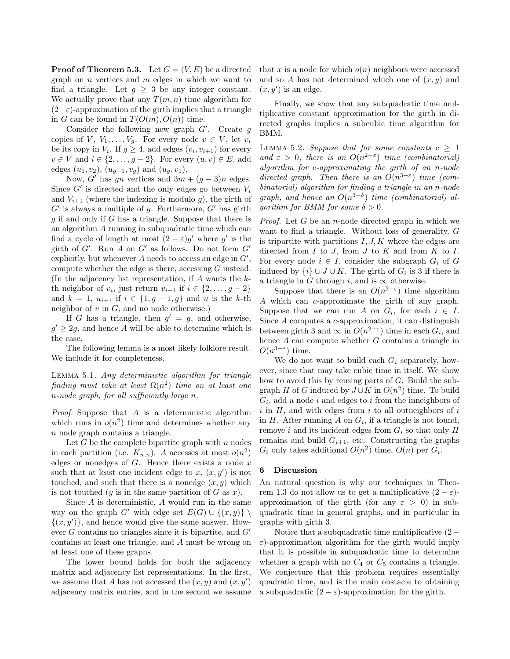**Proof of Theorem 5.3.** Let  $G = (V, E)$  be a directed graph on  $n$  vertices and  $m$  edges in which we want to find a triangle. Let  $q > 3$  be any integer constant. We actually prove that any  $T(m, n)$  time algorithm for  $(2-\varepsilon)$ -approximation of the girth implies that a triangle in G can be found in  $T(O(m), O(n))$  time.

Consider the following new graph  $G'$ . Create  $g$ copies of V,  $V_1, \ldots, V_g$ . For every node  $v \in V$ , let  $v_i$ be its copy in  $V_i$ . If  $g \geq 4$ , add edges  $(v_i, v_{i+1})$  for every  $v \in V$  and  $i \in \{2, \ldots, g-2\}$ . For every  $(u, v) \in E$ , add edges  $(u_1, v_2)$ ,  $(u_{q-1}, v_q)$  and  $(u_q, v_1)$ .

Now, G' has qn vertices and  $3m + (q-3)n$  edges. Since  $G'$  is directed and the only edges go between  $V_i$ and  $V_{i+1}$  (where the indexing is modulo g), the girth of  $G'$  is always a multiple of g. Furthermore,  $G'$  has girth  $g$  if and only if  $G$  has a triangle. Suppose that there is an algorithm A running in subquadratic time which can find a cycle of length at most  $(2 - \varepsilon)g'$  where g' is the girth of  $G'$ . Run A on  $G'$  as follows. Do not form  $G'$ explicitly, but whenever  $A$  needs to access an edge in  $G'$ , compute whether the edge is there, accessing G instead. (In the adjacency list representation, if A wants the kth neighbor of  $v_i$ , just return  $v_{i+1}$  if  $i \in \{2, \ldots, g-2\}$ and  $k = 1$ ,  $u_{i+1}$  if  $i \in \{1, g-1, g\}$  and u is the k-th neighbor of  $v$  in  $G$ , and no node otherwise.)

If G has a triangle, then  $g' = g$ , and otherwise,  $g' \geq 2g$ , and hence A will be able to determine which is the case.

The following lemma is a most likely folklore result. We include it for completeness.

Lemma 5.1. *Any deterministic algorithm for triangle*  $finding\ must\ take\ at\ least\ \Omega(n^2)\ time\ on\ at\ least\ one$ n*-node graph, for all sufficiently large* n*.*

*Proof.* Suppose that A is a deterministic algorithm which runs in  $o(n^2)$  time and determines whether any n node graph contains a triangle.

Let  $G$  be the complete bipartite graph with  $n$  nodes in each partition (i.e.  $K_{n,n}$ ). A accesses at most  $o(n^2)$ edges or nonedges of  $G$ . Hence there exists a node  $x$ such that at least one incident edge to  $x, (x, y')$  is not touched, and such that there is a nonedge  $(x, y)$  which is not touched (y is in the same partition of G as x).

Since  $A$  is deterministic,  $A$  would run in the same way on the graph G' with edge set  $E(G) \cup \{(x, y)\}\$  $\{(x, y')\}$ , and hence would give the same answer. However  $G$  contains no triangles since it is bipartite, and  $G'$ contains at least one triangle, and A must be wrong on at least one of these graphs.

The lower bound holds for both the adjacency matrix and adjacency list representations. In the first, we assume that A has not accessed the  $(x, y)$  and  $(x, y')$ adjacency matrix entries, and in the second we assume that x is a node for which  $o(n)$  neighbors were accessed and so A has not determined which one of  $(x, y)$  and  $(x, y')$  is an edge.

Finally, we show that any subquadratic time multiplicative constant approximation for the girth in directed graphs implies a subcubic time algorithm for BMM.

LEMMA 5.2. *Suppose that for some constants*  $c \geq 1$ and  $\varepsilon > 0$ , there is an  $O(n^{2-\varepsilon})$  *time (combinatorial) algorithm for* c*-approximating the girth of an* n*-node directed graph. Then there is an*  $O(n^{3-\epsilon})$  *time (combinatorial) algorithm for finding a triangle in an* n*-node graph, and hence an*  $O(n^{3-\delta})$  *time (combinatorial) algorithm for BMM for some*  $\delta > 0$ *.* 

*Proof.* Let G be an n-node directed graph in which we want to find a triangle. Without loss of generality, G is tripartite with partitions  $I, J, K$  where the edges are directed from  $I$  to  $J$ , from  $J$  to  $K$  and from  $K$  to  $I$ . For every node  $i \in I$ , consider the subgraph  $G_i$  of G induced by  $\{i\} \cup J \cup K$ . The girth of  $G_i$  is 3 if there is a triangle in G through i, and is  $\infty$  otherwise.

Suppose that there is an  $O(n^{2-\epsilon})$  time algorithm A which can c-approximate the girth of any graph. Suppose that we can run A on  $G_i$ , for each  $i \in I$ . Since A computes a c-approximation, it can distinguish between girth 3 and  $\infty$  in  $O(n^{2-\epsilon})$  time in each  $G_i$ , and hence A can compute whether G contains a triangle in  $O(n^{3-\epsilon})$  time.

We do not want to build each  $G_i$  separately, however, since that may take cubic time in itself. We show how to avoid this by reusing parts of G. Build the subgraph H of G induced by  $J \cup K$  in  $O(n^2)$  time. To build  $G_i$ , add a node i and edges to i from the inneighbors of  $i$  in  $H$ , and with edges from  $i$  to all outneighbors of  $i$ in  $H$ . After running  $A$  on  $G_i$ , if a triangle is not found, remove i and its incident edges from  $G_i$  so that only  $H$ remains and build  $G_{i+1}$ , etc. Constructing the graphs  $G_i$  only takes additional  $O(n^2)$  time,  $O(n)$  per  $G_i$ .

## 6 Discussion

An natural question is why our techniques in Theorem 1.3 do not allow us to get a multiplicative  $(2 - \varepsilon)$ approximation of the girth (for any  $\varepsilon > 0$ ) in subquadratic time in general graphs, and in particular in graphs with girth 3.

Notice that a subquadratic time multiplicative (2−  $\varepsilon$ )-approximation algorithm for the girth would imply that it is possible in subquadratic time to determine whether a graph with no  $C_4$  or  $C_5$  contains a triangle. We conjecture that this problem requires essentially quadratic time, and is the main obstacle to obtaining a subquadratic  $(2 - \varepsilon)$ -approximation for the girth.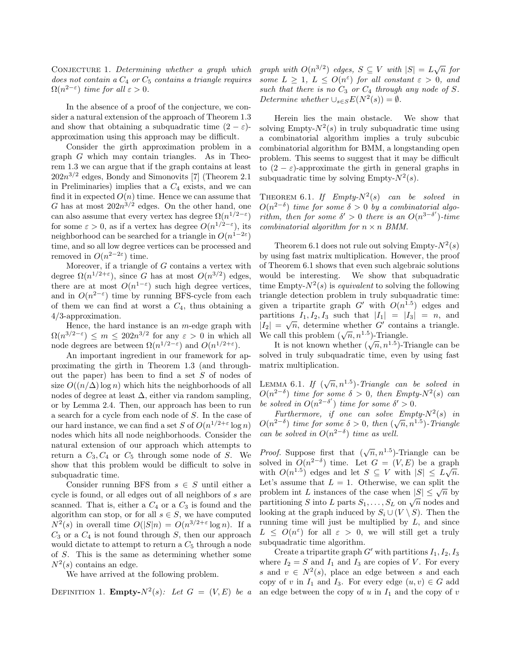CONJECTURE 1. *Determining whether a graph which does not contain a* C<sup>4</sup> *or* C<sup>5</sup> *contains a triangle requires*  $\Omega(n^{2-\epsilon})$  *time for all*  $\epsilon > 0$ *.* 

In the absence of a proof of the conjecture, we consider a natural extension of the approach of Theorem 1.3 and show that obtaining a subquadratic time  $(2 - \varepsilon)$ approximation using this approach may be difficult.

Consider the girth approximation problem in a graph G which may contain triangles. As in Theorem 1.3 we can argue that if the graph contains at least  $202n^{3/2}$  edges, Bondy and Simonovits [7] (Theorem 2.1) in Preliminaries) implies that a  $C_4$  exists, and we can find it in expected  $O(n)$  time. Hence we can assume that G has at most  $202n^{3/2}$  edges. On the other hand, one can also assume that every vertex has degree  $\Omega(n^{1/2-\epsilon})$ for some  $\varepsilon > 0$ , as if a vertex has degree  $O(n^{1/2-\varepsilon})$ , its neighborhood can be searched for a triangle in  $O(n^{1-2\varepsilon})$ time, and so all low degree vertices can be processed and removed in  $O(n^{2-2\varepsilon})$  time.

Moreover, if a triangle of  $G$  contains a vertex with degree  $\Omega(n^{1/2+\epsilon})$ , since G has at most  $O(n^{3/2})$  edges, there are at most  $O(n^{1-\epsilon})$  such high degree vertices, and in  $O(n^{2-\epsilon})$  time by running BFS-cycle from each of them we can find at worst a  $C_4$ , thus obtaining a 4/3-approximation.

Hence, the hard instance is an  $m$ -edge graph with  $\Omega(n^{3/2-\varepsilon}) \leq m \leq 202n^{3/2}$  for any  $\varepsilon > 0$  in which all node degrees are between  $\Omega(n^{1/2-\epsilon})$  and  $O(n^{1/2+\epsilon})$ .

An important ingredient in our framework for approximating the girth in Theorem 1.3 (and throughout the paper) has been to find a set  $S$  of nodes of size  $O((n/\Delta) \log n)$  which hits the neighborhoods of all nodes of degree at least  $\Delta$ , either via random sampling, or by Lemma 2.4. Then, our approach has been to run a search for a cycle from each node of S. In the case of our hard instance, we can find a set S of  $O(n^{1/2+\epsilon} \log n)$ nodes which hits all node neighborhoods. Consider the natural extension of our approach which attempts to return a  $C_3, C_4$  or  $C_5$  through some node of S. We show that this problem would be difficult to solve in subquadratic time.

Consider running BFS from  $s \in S$  until either a cycle is found, or all edges out of all neighbors of s are scanned. That is, either a  $C_4$  or a  $C_3$  is found and the algorithm can stop, or for all  $s \in S$ , we have computed  $N^2(s)$  in overall time  $O(|S|n) = O(n^{3/2+\varepsilon} \log n)$ . If a  $C_3$  or a  $C_4$  is not found through S, then our approach would dictate to attempt to return a  $C_5$  through a node of S. This is the same as determining whether some  $N^2(s)$  contains an edge.

We have arrived at the following problem.

DEFINITION 1. **Empty-** $N^2(s)$ : Let  $G = (V, E)$  be a

*graph with*  $O(n^{3/2})$  *edges,*  $S \subseteq V$  *with*  $|S| = L\sqrt{n}$  *for some*  $L \geq 1$ ,  $L \leq O(n^{\epsilon})$  *for all constant*  $\epsilon > 0$ *, and* such that there is no  $C_3$  or  $C_4$  through any node of S. *Determine whether*  $\bigcup_{s \in S} E(N^2(s)) = \emptyset$ *.* 

Herein lies the main obstacle. We show that solving Empty- $N^2(s)$  in truly subquadratic time using a combinatorial algorithm implies a truly subcubic combinatorial algorithm for BMM, a longstanding open problem. This seems to suggest that it may be difficult to  $(2 - \varepsilon)$ -approximate the girth in general graphs in subquadratic time by solving Empty- $N^2(s)$ .

THEOREM 6.1. If  $Empty-N^2(s)$  *can be solved in*  $O(n^{2-\delta})$  *time for some*  $\delta > 0$  *by a combinatorial algorithm, then for some*  $\delta' > 0$  *there is an*  $O(n^{3-\delta'})$ *-time combinatorial algorithm for*  $n \times n$  *BMM.* 

Theorem 6.1 does not rule out solving Empty- $N^2(s)$ by using fast matrix multiplication. However, the proof of Theorem 6.1 shows that even such algebraic solutions would be interesting. We show that subquadratic time Empty- $N^2(s)$  is *equivalent* to solving the following triangle detection problem in truly subquadratic time: given a tripartite graph  $G'$  with  $O(n^{1.5})$  edges and partitions  $I_1, I_2, I_3$  such that  $|I_1| = |I_3| = n$ , and  $|I_2| = \sqrt{n}$ , determine whether  $G'$  contains a triangle. We call this problem  $(\sqrt{n}, n^{1.5})$ -Triangle.

It is not known whether  $(\sqrt{n}, n^{1.5})$ -Triangle can be solved in truly subquadratic time, even by using fast matrix multiplication.

LEMMA 6.1. If  $(\sqrt{n}, n^{1.5})$ -Triangle can be solved in  $O(n^{2-\delta})$  *time for some*  $\delta > 0$ *, then Empty-N*<sup>2</sup>(*s*) *can be solved in*  $O(n^{2-\delta'})$  *time for some*  $\delta' > 0$ .

Furthermore, if one can solve  $Empty-N^2(s)$  in  $O(n^{2-\delta})$  *time for some*  $\delta > 0$ *, then*  $(\sqrt{n}, n^{1.5})$ *-Triangle can be solved in*  $O(n^{2-\delta})$  *time as well.* 

*Proof.* Suppose first that  $(\sqrt{n}, n^{1.5})$ -Triangle can be solved in  $O(n^{2-\delta})$  time. Let  $G = (V, E)$  be a graph with  $O(n^{1.5})$  edges and let  $S \subseteq V$  with  $|S| \leq L\sqrt{n}$ . Let's assume that  $L = 1$ . Otherwise, we can split the problem int L instances of the case when  $|S| \leq \sqrt{n}$  by partitioning S into L parts  $S_1, \ldots, S_L$  on  $\sqrt{n}$  nodes and looking at the graph induced by  $S_i \cup (V \setminus S)$ . Then the running time will just be multiplied by  $L$ , and since  $L \leq O(n^{\varepsilon})$  for all  $\varepsilon > 0$ , we will still get a truly subquadratic time algorithm.

Create a tripartite graph  $G'$  with partitions  $I_1, I_2, I_3$ where  $I_2 = S$  and  $I_1$  and  $I_3$  are copies of V. For every s and  $v \in N^2(s)$ , place an edge between s and each copy of v in  $I_1$  and  $I_3$ . For every edge  $(u, v) \in G$  add an edge between the copy of u in  $I_1$  and the copy of v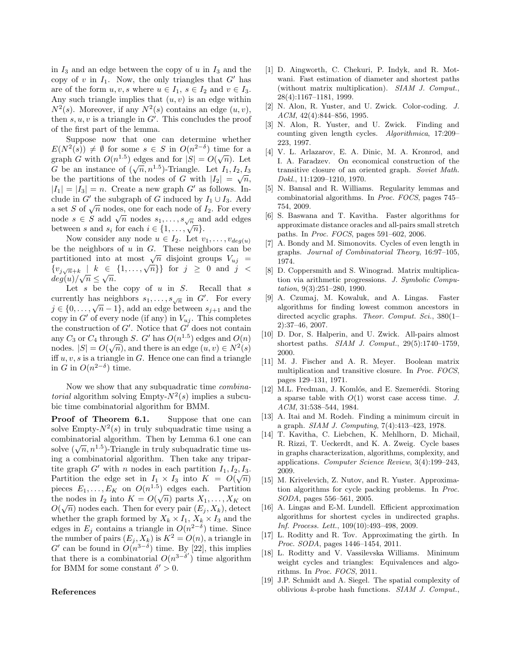in  $I_3$  and an edge between the copy of u in  $I_3$  and the copy of  $v$  in  $I_1$ . Now, the only triangles that  $G'$  has are of the form  $u, v, s$  where  $u \in I_1, s \in I_2$  and  $v \in I_3$ . Any such triangle implies that  $(u, v)$  is an edge within  $N^2(s)$ . Moreover, if any  $N^2(s)$  contains an edge  $(u, v)$ , then  $s, u, v$  is a triangle in  $G'$ . This concludes the proof of the first part of the lemma.

Suppose now that one can determine whether  $E(N^2(s)) \neq \emptyset$  for some  $s \in S$  in  $O(n^{2-\delta})$  time for a graph G with  $O(n^{1.5})$  edges and for  $|S| = O(\sqrt{n})$ . Let G be an instance of  $(\sqrt{n}, n^{1.5})$ -Triangle. Let  $I_1, I_2, I_3$ be the partitions of the nodes of G with  $|I_2| = \sqrt{n}$ ,  $|I_1| = |I_3| = n$ . Create a new graph G' as follows. Include in G' the subgraph of G induced by  $I_1 \cup I_3$ . Add a set S of  $\sqrt{n}$  nodes, one for each node of  $I_2$ . For every node  $s \in S$  add  $\sqrt{n}$  nodes  $s_1, \ldots, s_{\sqrt{n}}$  and add edges between s and  $s_i$  for each  $i \in \{1, \ldots, \sqrt{n}\}.$ 

Now consider any node  $u \in I_2$ . Let  $v_1, \ldots, v_{deg(u)}$ be the neighbors of  $u$  in  $G$ . These neighbors can be partitioned into at most  $\sqrt{n}$  disjoint groups  $V_{uj}$  =  $\{v_{j\sqrt{n+k}} \perp k \in \{1,\ldots,\sqrt{n}\}\}\$ for  $j \geq 0$  and  $j <$  $deg(u)/\sqrt{n} \leq \sqrt{n}.$ 

Let  $s$  be the copy of  $u$  in  $S$ . Recall that  $s$ currently has neighbors  $s_1, \ldots, s_{\sqrt{n}}$  in  $G'$ . For every  $j \in \{0, \ldots, \sqrt{n-1}\}\$ , add an edge between  $s_{j+1}$  and the copy in  $G'$  of every node (if any) in  $V_{uj}$ . This completes the construction of  $G'$ . Notice that  $G'$  does not contain any  $C_3$  or  $C_4$  through S. G' has  $O(n^{1.5})$  edges and  $O(n)$ nodes.  $|S| = O(\sqrt{n})$ , and there is an edge  $(u, v) \in N^2(s)$ iff  $u, v, s$  is a triangle in G. Hence one can find a triangle in G in  $O(n^{2-\delta})$  time.

Now we show that any subquadratic time *combinatorial* algorithm solving Empty- $N^2(s)$  implies a subcubic time combinatorial algorithm for BMM.

Proof of Theorem 6.1. Suppose that one can solve Empty- $N^2(s)$  in truly subquadratic time using a combinatorial algorithm. Then by Lemma 6.1 one can solve  $(\sqrt{n}, n^{1.5})$ -Triangle in truly subquadratic time using a combinatorial algorithm. Then take any tripartite graph  $G'$  with n nodes in each partition  $I_1, I_2, I_3$ . Partition the edge set in  $I_1 \times I_3$  into  $K = O(\sqrt{n})$ pieces  $E_1, \ldots, E_K$  on  $O(n^{1.5})$  edges each. Partition the nodes in  $I_2$  into  $K = O(\sqrt{n})$  parts  $X_1, \ldots, X_K$  on  $O(\sqrt{n})$  nodes each. Then for every pair  $(E_j, X_k)$ , detect whether the graph formed by  $X_k \times I_1$ ,  $X_k \times I_3$  and the edges in  $E_j$  contains a triangle in  $O(n^{2-\delta})$  time. Since the number of pairs  $(E_j, X_k)$  is  $K^2 = O(n)$ , a triangle in G' can be found in  $O(n^{3-\delta})$  time. By [22], this implies that there is a combinatorial  $O(n^{3-\delta'})$  time algorithm for BMM for some constant  $\delta' > 0$ .

#### References

- [1] D. Aingworth, C. Chekuri, P. Indyk, and R. Motwani. Fast estimation of diameter and shortest paths (without matrix multiplication). SIAM J. Comput., 28(4):1167–1181, 1999.
- [2] N. Alon, R. Yuster, and U. Zwick. Color-coding. J. ACM, 42(4):844–856, 1995.
- [3] N. Alon, R. Yuster, and U. Zwick. Finding and counting given length cycles. Algorithmica, 17:209– 223, 1997.
- [4] V. L. Arlazarov, E. A. Dinic, M. A. Kronrod, and I. A. Faradzev. On economical construction of the transitive closure of an oriented graph. Soviet Math. Dokl., 11:1209–1210, 1970.
- [5] N. Bansal and R. Williams. Regularity lemmas and combinatorial algorithms. In Proc. FOCS, pages 745– 754, 2009.
- [6] S. Baswana and T. Kavitha. Faster algorithms for approximate distance oracles and all-pairs small stretch paths. In Proc. FOCS, pages 591–602, 2006.
- [7] A. Bondy and M. Simonovits. Cycles of even length in graphs. Journal of Combinatorial Theory, 16:97–105, 1974.
- [8] D. Coppersmith and S. Winograd. Matrix multiplication via arithmetic progressions. J. Symbolic Computation, 9(3):251–280, 1990.
- [9] A. Czumaj, M. Kowaluk, and A. Lingas. Faster algorithms for finding lowest common ancestors in directed acyclic graphs. Theor. Comput. Sci., 380(1– 2):37–46, 2007.
- [10] D. Dor, S. Halperin, and U. Zwick. All-pairs almost shortest paths. SIAM J. Comput., 29(5):1740–1759, 2000.
- [11] M. J. Fischer and A. R. Meyer. Boolean matrix multiplication and transitive closure. In Proc. FOCS, pages 129–131, 1971.
- [12] M.L. Fredman, J. Komlós, and E. Szemerédi. Storing a sparse table with  $O(1)$  worst case access time. J. ACM, 31:538–544, 1984.
- [13] A. Itai and M. Rodeh. Finding a minimum circuit in a graph. SIAM J. Computing, 7(4):413–423, 1978.
- [14] T. Kavitha, C. Liebchen, K. Mehlhorn, D. Michail, R. Rizzi, T. Ueckerdt, and K. A. Zweig. Cycle bases in graphs characterization, algorithms, complexity, and applications. Computer Science Review, 3(4):199–243, 2009.
- [15] M. Krivelevich, Z. Nutov, and R. Yuster. Approximation algorithms for cycle packing problems. In Proc. SODA, pages 556–561, 2005.
- [16] A. Lingas and E-M. Lundell. Efficient approximation algorithms for shortest cycles in undirected graphs. Inf. Process. Lett., 109(10):493–498, 2009.
- [17] L. Roditty and R. Tov. Approximating the girth. In Proc. SODA, pages 1446–1454, 2011.
- [18] L. Roditty and V. Vassilevska Williams. Minimum weight cycles and triangles: Equivalences and algorithms. In Proc. FOCS, 2011.
- [19] J.P. Schmidt and A. Siegel. The spatial complexity of oblivious k-probe hash functions. SIAM J. Comput.,